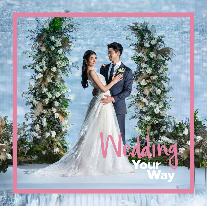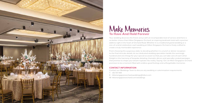

## Make Memories

Your wedding deserves the finest venue with an incomparable level of service and there is no better choice than Hilton Singapore Orchard, an inspiring landmark hotel with a premier address right in the heart of Orchard Road. Whether it is a traditional grand wedding or a one-of-a-kind celebration, each wedding at Hilton Singapore Orchard is finely crafted to create a truly memorable experience.

From choosing the auspicious date, to deciding whether it is a lunch or dinner reception to the final intricate details, let our dedicated wedding specialists handle the seemingly hundred-and-one things for your special occasion so that you can take care of each other. Delight in the harmony of bespoke detailing, thematic décors and specially curated packages that promise to shape your dream nuptials into reality. Saying 'I Do' at Hilton Singapore Orchard promises to be a moment filled with endless good feelings and unforgettable memories.

### **CONTACT INFORMATION**

Contact our Weddings Team to discuss any wedding or solemnisation requirements: T: +65 737 4411

E: [hiltonsingaporeorchard.weddings@hilton.com](mailto:hiltonsingaporeorchard.weddings@hilton.com)

W: [hiltonsingaporeorchard.com/weddings](http://hiltonsingaporeorchard.com/weddings)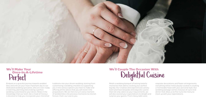

Embark on a graceful journey towards wedded bliss and entrust your most important day to our dedicated wedding specialists, who are ever-ready in listening, planning and creating a perfect wedding customised to your desire. Relax in the knowledge that our team, like a maid-of-honour, is devoted to help you incorporate your cherished

### We'll Make Your **Once-In-A-Lifetime**<br> **Perfect**<br>
Embark on a graceful journey towards wede

Relish a wedding banquet of lasting tasteful memories that add to creating your perfect big day. Our creative and experienced culinary team promises bespoke and exquisite cuisine that not only caters to your requirements, we will also exceed your expectations to delight and surprise your guests. From classy table wear,

traditions into your dream wedding, starting from customising a wedding checklist to supporting you in the various options you have to make and offering all the advice that you will need in the preparations. We are here to turn every moment of wedded bliss into precious memories to cherish forever, that's our vow to you.

# We'll Couple The Occasion With<br>Delightful Cuisine

exquisite decorations and flower arrangements, everything will be meticulously curated in creating a memorable feast with your personal style. Our wedding package comes inclusive of a pre-trial dinner that allow us to fine-tune the menu to meet up with your expectations.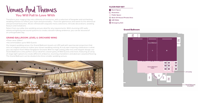Transform your magical day into a lifetime of memories, with a selection of bespoke and enchanting wedding themes to reflect your style and personality — from the glamorous and sweet to the whimsical and perennial favourites. All are refined with exquisite menu selections, intricate decorations, wedding favours and invitations.

Select from our pillar-less wedding venues ideal for any requirements. With stunning LED walls, advanced lighting and sound systems to create a breath-taking ambience, you can be assured of an unforgettable day.

### **GRAND BALLROOM, LEVEL 6, ORCHARD WING**

- Floor-area: 1219m2
- Accommodates up to 900 Guests

Our largest wedding venue, the Grand Ballroom boasts an LED wall with spectacular projection that acts as a digital canvas to realise your dream wedding setting. A truly awe-inspiring celebration is what you can expect from Hilton Singapore Orchard. With its high ceiling, pillar-less and elegant design, our Grand Ballroom is the perfect venue ideal for a lavish party of 900 Guests and more, featuring an array of stage light options to create different ambience, stunning chandeliers and abstract carpeted flooring. The Grand Ballroom can be divided into three smaller wedding venues.



### You Will Fall In Love With Venues And Themes

### FLOOR MAP KEY



### Grand Ballroom

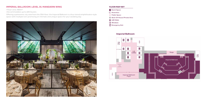

### **IMPERIAL BALLROOM, LEVEL 35, MANDARIN WING**

• Floor-area: 480m2

• Accommodates up to 220 Guests

- **Windows**
- **Emergency Exit**

Offering a panoramic city view from the 35th floor, the Imperial Ballroom is a four-tiered amphitheatre-style space with multiple tiers promising an intimate and unique space for your wedding day.



### FLOOR MAP KEY

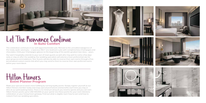

### Let The Romance Continue







Make your special occasion more fulfilling by earning loyalty points. Simply register yourself as our Hilton Honors member today and enjoy special promotions and benefits each time you stay or dine at our participating hotels. There is no minimum amount you need to spend, and you can earn Hilton Honors points up to USD 100,000 on your spend. Use these points for your next milestone celebration, or your honeymoon getaway. Find out what is eligible, learn how to earn and how to redeem from our wedding specialists.

## Hilton Honors Event Planner Program

The celebration continues in our well-appointed bridal suite. Retreat to the unrivalled indulgence of the newly-weds' sanctuary – a spacious 56m<sup>2</sup> one-bedroom suite with complimentary Champagne and chocolates. Clink your Champagne glasses to the beginning of the world's greatest love story — yours.

Our warm hospitality extends to your out-of-town guests as well, who may wish to come a few days early or stay on after the wedding. Our wedding specialists will extend a most-preferential rate for your group accommodations. Your Guests will also be able to reserve their own rooms through a free, personalised custom events link which you may send to them to reserve their own preferred rooms within your room block.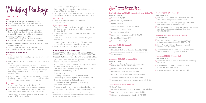### ADDITIONAL WEDDING PERKS

**Choose TWO wedding perks with a min. of 12 tables Choose THREE wedding perks with a min. of 28 tables Choose FOUR wedding perks with a min. of 38 tables**

- \$100 nett Food and Beverage credit to be used at any of our in-house restaurants
- A bottle of house-pour wine per confirmed table (for consumption during event only)
- Waiver of corkage for all duty paid and sealed bottles of wine brought in
- One barrel of beer
- One day-use room (Deluxe Room) from 10am to 3pm (Wedding Lunch) or 3pm to 8pm
- One night's stay in a Deluxe Room
- Delectable butler-style canapés during pre-event reception
- A second night stay in our luxurious bridal suite (for weekend wedding dinner packages only)
- Grand Ballroom (min 30, max 80 tables)
- Imperial Ballroom (min 12, max 22 tables)

### **Lunch**

### **Mondays to Sundays | \$1,488++ per table**

- Grand Ballroom (min 28, max 80 tables)
- Imperial Ballroom (min 12, max 22 tables)

### **Dinner**

### **Mondays to Thursdays | \$1,488++ per table**

### **Saturday | \$1,888++ per table**

- Grand Ballroom (min 40, max 80 tables)
- Imperial Ballroom (min 15, max 22 tables)

### **Fridays, Sundays, Eve and Day of Public Holidays \$1,688++ per table**

- Grand Ballroom (min 38, max 80 tables)
- Imperial Ballroom (min 15, max 22 tables)

The hotel reserves the rights to amend the prices without prior notice. All prices are in Singapore dollar and subject to 10% service charge and prevailing GST.

### 2022/2023

### Wedding Package

### PACKAGE HIGHLIGHTS

### **Dining**

- □ Thai-style Marinated Conch 泰式海螺
- Marinated Octopus 八爪鱼
- □ Golden Nest Roll 金网卷
- □ Prawn Roll in Wasabi Mavo 芥末美乃滋虾卷
- Smoked Duck Breast 烟鸭胸
- Barbecued Pork 叉烧

■ Braised Crab Meat and Fish Maw in Golden Sauce 黄焖蟹肉鱼肚羹

- Exquisite cuisine specially prepared by our team of chefs
- Iced tea, nuts and chips served during pre-event reception
- Exclusive pre-event dining experience for 10 Guests of your choice, based on your confirmed menu (applicable from Tuesdays to Thursdays, excluding Eve of and Public Holidays and blackout dates)
- A specially designed five-tier wedding cake on display with an additional cake by our Executive Pastry Chef for your private celebration

### **Beverage**

- ■Braised Sliced Conch with Shiitake Mushroom and Seasonal Vegetable 北菇响螺片时蔬
- □ Braised Sea Cucumber with Shiitake Mushroom and Seasonal Vegetable 海參冬菇时蔬
- □ Braised Sliced Jade Abalone with Shiitake Mushroom and Seasonal Vegetable in Crab Meat Sauce 蟹汁鲍鱼螺鲜菇时蔬

- Champagne fountain with a bottle of champagne to toast to the joyous occasion
- Assorted soft drinks and Chinese tea served throughout the event for up to four hours
- House-pour wine can be arranged at a special price of \$48++ per bottle
- **Braised Ee-fu Noodle with Duo Mushrooms** in Superior Abalone Sauce 鲍汁双菇干烧伊面
- **Fried Rice with Chinese Sausage wrapped** in Lotus Leaf 腊味荷叶饭
- Vermicelli stewed with Shredded Chicken Meat and Preserved Cabbage 雪菜鸡丝焖米粉
- One barrel of beer for your event
- Additional barrels can be arranged at a special price of \$600++ per barrel
- Corkage fee for duty-paid and sealed wine and hard liquor can be arranged at\$30++ per bottle

### **Decorations**

• Choice of elegant wedding theme and floral decoration

### **Other Inclusions**

- Partial sponsorship of your wedding invitation cards and wedding favours at \$3 per guest (before GST)
- One-night stay in our bridal suite with welcome amenities
- Breakfast for two at Estate or served in your bridal suite
- Usage of our state-of-the-art LED walls and screens for your wedding video montage
- Valet parking service for your bridal car

### **Perfect Beginnings** 花好月圓 **(Appetiser Platter** 五福大拼盘**)**

### **Choice of 5 items**

Prawn Salad 沙律虾

□ Marinated Jellyfish 辣汁海蜇

□ Spring Roll 春卷

### **Romance** 良緣天註定 **(Soup** 羹**)**

### **Choice of 1 item**

□ Shredded Abalone in Superior Soup 鲍丝海味羹

### **Happiness** 濃情似海深 **(Seafood** 海鲜**)**

### **Choice of 1 item**

- **Prawn and Scallop Sautéed with Asparagus** and Mushroom 露笋松菇带子虾球
- □ Chinese Herb Drunken Prawn 药材醉生虾
- Scallop and Yam Croquette 荔茸带子
- □ Hong Kong-style Steamed Garoupa 清蒸石斑
- □ Steamed Patin Fish with Garlic 蒜香巴丁鱼
- Steamed Sea Bass with Black Bean Sauce 鼓汁金目鲈

### **Togetherness** 凤凰于飞 **(Meat** 肉**)**

### **Choice of 1 item**

- □ Crispy Roasted Chicken with Almond Slice 避风塘烧鸡
- Roasted Spare Rib with Capital Sauce排骨皇
- □ Chinese Herb-infused Roasted Duck 药材烧鸭



### **Blissful** 永恆照愛 **(Vegetable** 菜**)**

### **Choice of 1 item**

### **Longevity** 濃情一線牽 **(Noodles/Rice** 面/饭**)**

### **Choice of 1 item**

### **Sweetness** 甜甜蜜蜜 **(Dessert** 甜品**)**

- Cream of Red Bean with Glutinous Rice Dumpling 红豆沙汤圆
- Chilled Aloe Vera and Lemongrass Jelly in Calamansi Juice 香茅芦荟冻
- □ Chilled Mango Sago with Pomelo 杨枝甘露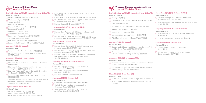### **Perfect Beginnings** 花好月圓 **(Appetiser Platter** 五福大拼盘**)**

### **Choice of 5 items**

- □ Prawn Salad with Fresh Fruit 鲜果沙律虾
- Marinated Jellyfish 辣汁海蜇
- □ Spring Roll 春卷
- Ebiko Sushi 鱼子寿司
- ■Thai-style Marinated Conch 泰式海螺
- □ Barbecued Pork 叉烧
- Marinated Octopus 八爪鱼
- Avocado Sushi 牛油果寿司
- Prawn Roll in Wasabi Mayo 芥末美乃滋虾卷
- Smoked Duck Breast 烟鸭胸
- □ Stir-fried Crab Meat with Egg 桂花蟹肉
- □ Lobster Salad/Sliced Suckling Pig 龙虾沙律/乳豬

- □ Lobster and Bamboo Shoot Soup 竹笙龙虾羹
- Braised Crab Meat and Fish Maw in Golden Sauce 黄焖蟹肉鱼肚羹

### **Romance** 良緣天註定 **(Soup** 羹**)**

### **Choice of 1 item**

- □ Stir-fried Prawn in Chilli Sauce with Deep-fried Bun 辣椒虾球拼馒头
- Stir-fried Scallop, Macadamia, Shimeji Mushroom and Lily Bulb 夏果松菇百合炒带子
- □ Stir-fried Prawn and Phoenix Clam with Broccoli in XO Sauce XO酱凤凰蚌虾球西兰花
- Teochew-style Steamed Australian Red Garoupa 潮州蒸澳洲红斑
- Steamed Sea Perch with Kombu Sauce 昆布汁蒸鲈鱼
- □ Steamed Soon Hock with Minced Garlic in Superior Sauce 蒜茸蒸顺壳鱼

### **Happiness** 濃情似海深 **(Seafood** 海鲜**)**

### **Choice of 1 item**

- **Braised Baby Abalone with Shiitake Mushroom and** Seasonal Vegetable 鲍鱼仔天白菇时蔬
- **Braised Baby Abalone with Conpoy and Shimeji** Mushroom and Seasonal Vegetable 干贝松菇鲍鱼仔时蔬

- **Braised Sliced Conch with Shiitake Mushroom and** Seasonal Vegetable 北菇响螺片时蔬
- **Braised Sea Cucumber with Shiitake Mushroom and** Seasonal Vegetable 海參冬菇时蔬
- □ Braised Sliced Jade Abalone with Shiitake Mushroom and Seasonal Vegetable in Crab Meat Sauce 蟹汁鲍鱼螺鲜菇时蔬

- Braised Ee-fu Noodle with Duo Mushrooms/ Crab Meat 双菇/蟹肉烩伊面
- **Fried Rice with Chinese Sausage wrapped in** Lotus Leaf 腊味荷叶饭
- □ Stir-fried Seafood Udon 干炒海鲜乌冬

### **Togetherness** 凤凰于飞 **(Meat** 肉**)**

### **Choice of 1 item**

- Wok-fried Venison with Capsicum in Black Pepper Sauce 黑椒蜜椒炒鹿肉
- Roasted Spare Rib with Capital Sauce 排骨皇
- **Pan-roasted Wu Xi Spare Rib in Black Vinegar Glaze** 镇江无锡排骨
- □ Crispy Roasted Chicken with Prawn Cracker 脆皮吊烧鸡
- Roasted Chicken with Crispy Egg Floss in Homemade Spicy and Sour Sauce 西施鸡
- Braised Duck with Chestnut 栗子扒大鸭

- □ Cream of Pumpkin with Yam Paste 金瓜芋泥
- Chilled Aloe Vera and Lemongrass Jelly in Calamansi Juice 香茅芦荟冻
- **Japanese Green Tea Pudding topped with** Azuki Red Bean 日本红豆绿茶布丁

### **Eternal Love** 情深見永恆 **(Delicacy** 精致美味**)**

### **Choice of 1 item**

- Double-boiled Soup with Chinese Yam, Bamboo Pith, and Cordycep Flower 虫草花山药竹笙炖汤
- **Braised Shredded Mock Abalone with** Golden Mushroom in Superior Soup 金菇鲍丝羹

- □ Sautéed Monkey Head Mushroom, Shimeji Mushroom and Macadamia 夏果松菇炒猴头菇
- Stir-fried King Oyster Mushroom in Chilli Sauce with Seasonal Vegetable 辣汁杏鲍菇炒时蔬

### **Blissful** 永恆照愛 **(Vegetable** 菜**)**

### **Choice of 1 item**

- □ Duo Bean Curd with Assorted Vegetables 蔬菜双色豆腐
- **Braised Eight Treasures wrapped in Bean Curd Skin** 八宝珍藏
- **Braised Cabbage and Chayote with Ling Zhi** Mushroom 佛手瓜白菜扒灵芝菇
- $\Box$  Braised Pumpkin and Bamboo Pith with Asparagus 金瓜竹笙烩芦笋

- Double-Boiled Snow Fungus with Almond 南北杏炖雪耳
- Chilled Aloe Vera and Lemongrass Jelly in Calamansi Juice 香茅芦荟冻

### **Longevity** 濃情一線牽 **(Noodles/Rice** 面/饭**)**

### **Choice of 1 item**

### **Sweetness** 甜甜蜜蜜 **(Dessert** 甜品**)**

### **Choice of 1 item**



### **Perfect Beginnings** 花好月圓 **(Appetiser Platter** 五福大拼盘**) Choice of 5 items**

- □ Spring Roll 素春卷
- Marinated Black Fungus with Lotus Root 凉拌木耳藕片
- □ Seaweed Roll 素紫菜卷
- Japanese Rice with Mushroom Sauce 日本素寿司
- □ Smoked Black Mushroom 熏冬菇
- Deep-fried Mock Goose 素鹅
- □ Marinated Celery with Wolfberry 清味杞子西芹
- □ Fried Tofu with Seaweed Sauce 炸豆腐拼海苔酱

### **Romance** 良緣天註定 **(Soup** 羹**)**

### **Choice of 1 item**

### **Happiness** 濃情似海深 **(Mushroom** 蘑菇**)**

### **Choice of 1 item**

### **Blissful** 永恆照愛 **(Bean Curd** 豆腐**)**

### **Choice of 1 item**

### 7-course Chinese Vegetarian Menu **Lunch & Weekday Dinner**

### **Eternal Love** 情深見永恆 **(Delicacy** 精致美味**)**

### **Choice of 1 item**

### **Longevity** 濃情一線牽 **(Noodles/Rice** 面/饭**)**

### **Choice of 1 item**

- **Braised Ee-fu Noodle with Assorted Vegetables** 翡翠焖伊府面
- □ Fried Rice Wrapped in Lotus Leaf 素荷叶饭

### **Sweetness** 甜甜蜜蜜 **(Dessert** 甜品**)**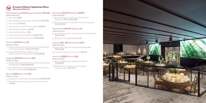

### **Perfect Beginnings** 花好月圓 **(Appetiser Platter** 五福大拼盘**)**

### **Choice of 5 items**

- □ Spring Roll 素春卷
- Marinated Black Fungus with Lotus Root 凉拌木耳藕片
- □ Seaweed Roll 素紫菜卷
- Japanese Rice with Mushroom Sauce 日本素寿司
- □ Smoked Black Mushroom 熏冬菇
- □ Deep-fried Mock Goose 素鹅
- □ Marinated Celery with Wolfberry 清味杞子西芹
- □ Fried Tofu with Seaweed Sauce 炸豆腐拼海苔酱

- Double-boiled Soup with Chinese Yam, Bamboo Pith, and Cordycep Flower 虫草花山药竹笙炖汤
- **Braised Shredded Mock Abalone with** Golden Mushroom in Superior Soup 金菇鲍丝羹

### **Romance** 良緣天註定 **(Soup** 羹**)**

- Sautéed Monkey Head Mushroom, Shimeji Mushroom and Macadamia 夏果松菇炒猴头菇
- **Stir-fried King Oyster Mushroom in Chilli Sauce with** Seasonal Vegetable 辣汁杏鲍菇炒时蔬

### **Choice of 1 item**

- □ Duo Bean Curd with Assorted Vegetables 蔬菜双色豆腐
- **Braised Eight Treasures wrapped in Bean Curd Skin** 八宝珍藏
- Braised Cabbage and Chayote with Ling Zhi Mushroom 佛手瓜白菜扒灵芝菇
- $\Box$  Braised Pumpkin and Bamboo Pith with Asparagus 金瓜竹笙烩芦笋

### **Happiness** 濃情似海深 **(Mushroom** 蘑菇**)**

### **Choice of 1 item**

### **Blissful** 永恆照愛 **(Bean Curd** 豆腐**)**

- Double-Boiled Snow Fungus with Almond 南北杏炖雪耳
- Chilled Aloe Vera and Lemongrass Jelly in Calamansi Juice 香茅芦荟冻

### **Choice of 1 item**

### 8-course Chinese Vegetarian Menu **Weekend Dinner**

### **Eternal Love** 情深見永恆 **(Delicacy** 精致美味**)**

### **Choice of 1 item**

### **Togetherness** 良緣悅美滿 **(Vegetable** 菜**)**

### **Choice of 1 item**

- □ Stir-fried Yam Abacus with Assorted Diced Vegetables 算盘子炒素菜丁
- Braised Lo Han Vegetable 罗汉上素

### **Longevity** 濃情一線牽 **(Noodles/Rice** 面/饭**)**

### **Choice of 1 item**

- **Braised Ee-fu Noodle with Assorted Vegetables** 翡翠焖伊府面
- □ Fried Rice Wrapped in Lotus Leaf 素荷叶饭

### **Sweetness** 甜甜蜜蜜 **(Dessert** 甜品**)**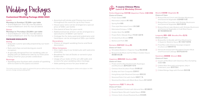### PACKAGE HIGHLIGHTS

### **Dining**

- Exquisite cuisine specially prepared by our team of chefs
- Nuts and chips served during pre-event reception
- A specially designed five-tier wedding cake on display with an additional cake by our Executive Pastry Chef for your private celebration

### **Beverage**

• Sparkling wine fountain with a bottle of sparkling wine to toast to the joyous occasion

### **Lunch**

### **Mondays to Sundays | \$1,288++ per table**

- Grand Ballroom (min 28, max 80 tables)
- Imperial Ballroom (min 15, max 22 tables)

### **Dinner**

- **Mondays to Thursdays | \$1,288++ per table**
- Grand Ballroom (min 30, max 80 tables)
- Imperial Ballroom (min 15, max 22 tables)

### Customised Wedding Package 2022/2023

Wedding Packages

- Assorted soft drinks and Chinese tea served throughout the event for up to four hours
- House-pour wine can be arranged at a special price of \$48++ per bottle
- One barrel of beer for your event
- Additional barrels of beer can be arranged at a special price of \$600++ per barrel
- Corkage fee for duty-paid and sealed wine and hard liquor can be arranged at \$30++ per bottle

- □ Shredded Abalone in Superior Soup 鲍丝海味羹
- □ Braised Crab Meat and Fish Maw in Golden Sauce 黄焖蟹肉鱼肚羹

### **Decorations**

• Choice of elegant wedding theme and floral decoration

### **Other Inclusions**

- One-night stay in our bridal suite with welcome amenities
- Breakfast for two at Estate or served in your bridal suite
- Usage of our state-of-the-art LED walls and screens for your wedding video montage
- Valet parking service for your bridal car
- □ Braised Sliced Conch with Shiitake Mushroom and Seasonal Vegetable 北菇响螺片时蔬
- □ Braised Sea Cucumber with Shiitake Mushroom and Seasonal Vegetable 海參冬菇时蔬
- **Braised Sliced Jade Abalone with Shiitake Mushroom** and Seasonal Vegetable in Crab Meat Sauce 蟹汁鲍鱼螺鲜菇时蔬

The hotel reserves the rights to amend the prices without prior notice. All prices are in Singapore dollar and subject to 10% service charge and prevailing GST.

### **Perfect Beginnings** 花好月圓 **(Appetiser Platter** 五福大拼盘**)**

### **Choice of 5 items**

- □ Prawn Salad 沙律虾
- Marinated Jellyfish 辣汁海蜇
- □ Spring Roll 春卷
- □ Thai-style Marinated Conch 泰式海螺
- □ Marinated Octopus 八爪鱼
- □ Golden Nest Roll 金网卷
- □ Prawn Roll in Wasabi Mayo 芥末美乃滋虾卷
- □ Smoked Duck Breast 烟鸭胸
- □ Barbecued Pork 叉烧

### **Romance** 良緣天註定 **(Soup** 羹**)**

### **Choice of 1 item**

### **Happiness** 濃情似海深 **(Seafood** 海鲜**)**

### **Choice of 1 item**

- $\Box$  Prawn and Scallop Sautéed with Asparagus and Mushroom 露笋松菇带子虾球
- □ Chinese Herb Drunken Prawn 药材醉生虾
- □ Scallop and Yam Croquette 荔茸带子
- □ Hong Kong-style Steamed Garoupa 清蒸石斑
- □ Steamed Patin Fish with Garlic 蒜香巴丁鱼
- □ Steamed Sea Bass with Black Bean Sauce 鼓汁金目鲈

### **Togetherness** 凤凰于飞 **(Meat** 肉**)**

### **Choice of 1 item**

- □ Crispy Roasted Chicken with Almond Slice 避风塘烧鸡
- □ Roasted Spare Rib with Capital Sauce 排骨皇
- □ Chinese Herb-infused Roasted Duck 药材烧鸭

### 7-course Chinese Menu **Lunch & Weekday Dinner**

### **Blissful** 永恆照愛 **(Vegetable** 菜**)**

### **Choice of 1 item**

### **Longevity** 濃情一線牽 **(Noodles/Rice** 面/饭**)**

### **Choice of 1 item**

- Braised Ee-fu Noodle with Duo Mushrooms in Superior Abalone Sauce 鲍汁双菇干烧伊面
- Fried Rice with Chinese Sausage wrapped in Lotus Leaf 腊味荷叶饭
- □ Vermicelli stewed with Shredded Chicken Meat and Preserved Cabbage 雪菜鸡丝焖米粉

### **Sweetness** 甜甜蜜蜜 **(Dessert** 甜品**)**

- $\Box$  Cream of Red Bean with Glutinous Rice Dumpling 红豆沙汤圆
- Chilled Aloe Vera and Lemongrass Jelly in Calamansi Juice 香茅芦荟冻
- □ Chilled Mango Sago with Pomelo 杨枝甘露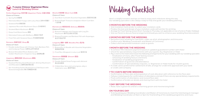### **Perfect Beginnings** 花好月圓 **(Appetiser Platter** 五福大拼盘**)**

### **Choice of 5 items**

- □ Spring Roll 素春卷
- Marinated Black Fungus with Lotus Root 凉拌木耳藕片
- □ Seaweed Roll 素紫菜卷
- Japanese Rice with Mushroom Sauce 日本素寿司
- □ Smoked Black Mushroom 熏冬菇
- Deep-fried Mock Goose 素鹅
- □ Marinated Celery with Wolfberry 清味杞子西芹
- □ Fried Tofu with Seaweed Sauce 炸豆腐拼海苔酱

- Double-boiled Soup with Chinese Yam, Bamboo Pith, and Cordycep Flower 虫草花山药竹笙炖汤
- **Braised Shredded Mock Abalone with** Golden Mushroom in Superior Soup 金菇鲍丝羹

### **Romance** 良緣天註定 **(Soup** 羹**)**

### **Choice of 1 item**

- Sautéed Monkey Head Mushroom, Shimeji Mushroom and Macadamia 夏果松菇炒猴头菇
- Stir-fried King Oyster Mushroom in Chilli Sauce with Seasonal Vegetable 辣汁杏鲍菇炒时蔬
- □ Duo Bean Curd with Assorted Vegetables 蔬菜双色豆腐
- **Braised Eight Treasures wrapped in Bean Curd Skin** 八宝珍藏

### **Happiness** 濃情似海深 **(Mushroom** 蘑菇**)**

- **Braised Cabbage and Chayote with Ling Zhi** Mushroom 佛手瓜白菜扒灵芝菇
- $\Box$  Braised Pumpkin and Bamboo Pith with Asparagus 金瓜竹笙烩芦笋

### **Choice of 1 item**

- Double-Boiled Snow Fungus with Almond 南北杏炖雪耳
- Chilled Aloe Vera and Lemongrass Jelly in Calamansi Juice 香茅芦荟冻

### 7-course Chinese Vegetarian Menu **Lunch & Weekday Dinner**

### **Blissful** 永恆照愛 **(Bean Curd** 豆腐**)**

### **Choice of 1 item**

### **Eternal Love** 情深見永恆 **(Delicacy** 精致美味**)**

### **Choice of 1 item**

### **Longevity** 濃情一線牽 **(Noodles/Rice** 面/饭**)**

### **Choice of 1 item**

- □ Braised Ee-fu Noodle with Assorted Vegetables 翡翠焖伊府面
- □ Fried Rice Wrapped in Lotus Leaf 素荷叶饭

### **Sweetness** 甜甜蜜蜜 **(Dessert** 甜品**)**

### **Choice of 1 item**



Here's a helpful timeline and tips on how to enjoy each milestone along the way. Our wedding specialist is also always ready to help and guide your wedding planning.

### **3 MONTHS BEFORE THE WEDDING**

- Visit Invitation Card vendor to select your invitation cards
- Finalise the text and design of your invitation cards with printer for printing
- Arrange for Food Tasting session (from Tuesday to Thursday, not applicable on eve of and on Public Holidays)
- Visit our florist to discuss floral arrangement (should you wish to enhance your wedding floral decoration)

### **2 MONTHS BEFORE THE WEDDING**

- Reconfirm your booking for hairstylist, make-up artist, photographer and limousine
- Confirm your Wedding Coordinator and Master of Ceremony
- Collect and mail printed invitation cards to guests

### **1 MONTH BEFORE THE WEDDING**

• Pay a visit to the hotel and review the following arrangements for your wedding with our wedding specialist:

- To achieve 75% milestone payment based on updated guaranteed number with Hotel
- Check for special dietary requirements with your guests. E.g. Vegetarian or Halal
- 
- Finalisation of menu, after Food Tasting session
- Choosing of wedding favours and linens
- Finalisation of wedding programme
- Confirmation of guest list and attendance
- Confirmation of special dietary requests, i.e. Vegetarian or Halal meals for muslim guests
- If credit card is preferred for settlement of bills, arrange for credit limit approval with your bank or credit card company

### **7 TO 3 DAYS BEFORE WEDDING**

• Call your invited guests for confirmation of attendance and ask if there are any special dietary requirements

- Confirmation of floor plan and preparation of seat allocation with reference to the floor plan
- 
- Final confirmation of attendance and revised floor plan
- Confirmation of bridal car details and sharing them with the hotel

### **1 DAY BEFORE THE WEDDING**

• Relax, have a good rest and be a charming groom and mesmerising bride!

### **ON YOUR BIG DAY**

• To bring along your Wedding Coordinator and Master of Ceremony to meet the hotel banquet manager and Wedding Coordinator at 10am or 5pm for final briefing of the wedding programme and music